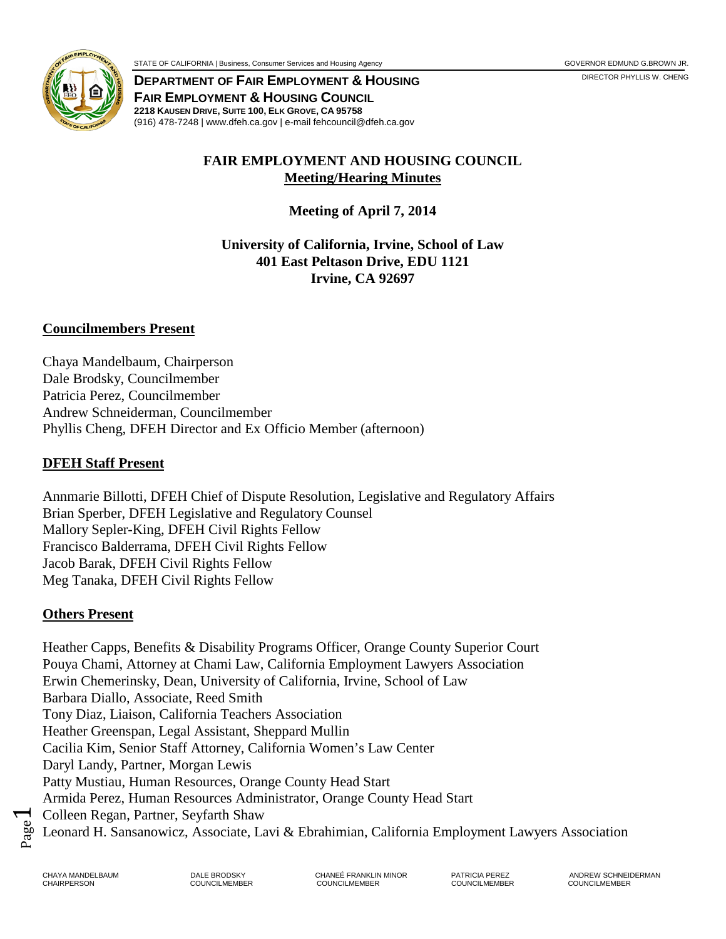

**DEPARTMENT OF FAIR EMPLOYMENT & HOUSING FAIR EMPLOYMENT & HOUSING COUNCIL 2218 KAUSEN DRIVE, SUITE 100, ELK GROVE, CA 95758**

(916) 478-7248 | www.dfeh.ca.gov | e-mail fehcouncil@dfeh.ca.gov

### **FAIR EMPLOYMENT AND HOUSING COUNCIL Meeting/Hearing Minutes**

**Meeting of April 7, 2014**

**University of California, Irvine, School of Law 401 East Peltason Drive, EDU 1121 Irvine, CA 92697**

### **Councilmembers Present**

Chaya Mandelbaum, Chairperson Dale Brodsky, Councilmember Patricia Perez, Councilmember Andrew Schneiderman, Councilmember Phyllis Cheng, DFEH Director and Ex Officio Member (afternoon)

#### **DFEH Staff Present**

Annmarie Billotti, DFEH Chief of Dispute Resolution, Legislative and Regulatory Affairs Brian Sperber, DFEH Legislative and Regulatory Counsel Mallory Sepler-King, DFEH Civil Rights Fellow Francisco Balderrama, DFEH Civil Rights Fellow Jacob Barak, DFEH Civil Rights Fellow Meg Tanaka, DFEH Civil Rights Fellow

#### **Others Present**

Heather Capps, Benefits & Disability Programs Officer, Orange County Superior Court Pouya Chami, Attorney at Chami Law, California Employment Lawyers Association Erwin Chemerinsky, Dean, University of California, Irvine, School of Law Barbara Diallo, Associate, Reed Smith Tony Diaz, Liaison, California Teachers Association Heather Greenspan, Legal Assistant, Sheppard Mullin Cacilia Kim, Senior Staff Attorney, California Women's Law Center Daryl Landy, Partner, Morgan Lewis Patty Mustiau, Human Resources, Orange County Head Start Armida Perez, Human Resources Administrator, Orange County Head Start Colleen Regan, Partner, Seyfarth Shaw Leonard H. Sansanowicz, Associate, Lavi & Ebrahimian, California Employment Lawyers Association

Page  $\blacktriangleleft$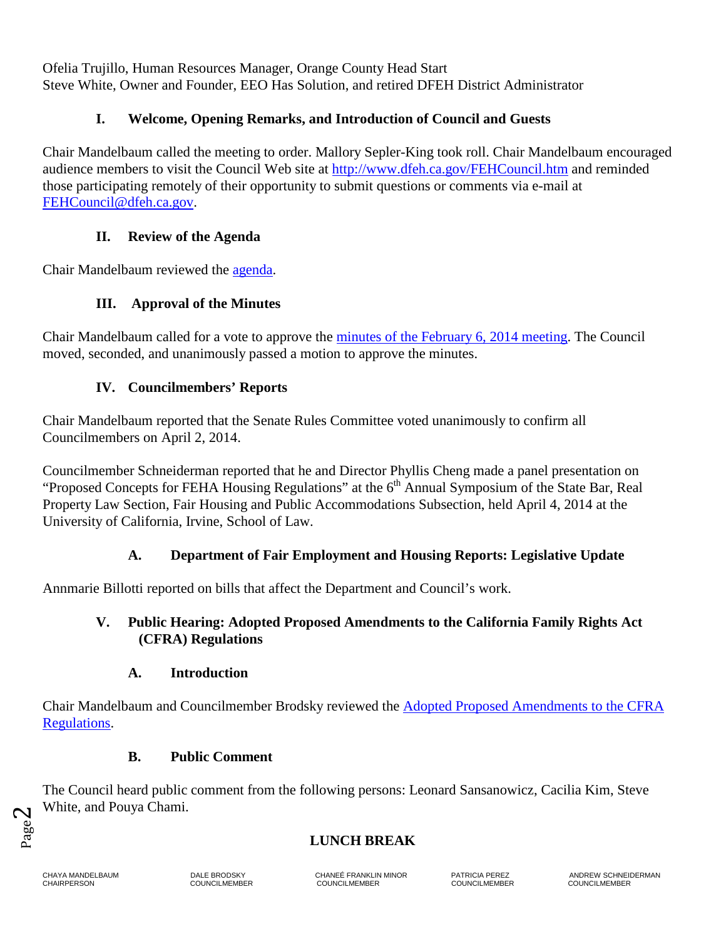Ofelia Trujillo, Human Resources Manager, Orange County Head Start Steve White, Owner and Founder, EEO Has Solution, and retired DFEH District Administrator

### **I. Welcome, Opening Remarks, and Introduction of Council and Guests**

Chair Mandelbaum called the meeting to order. Mallory Sepler-King took roll. Chair Mandelbaum encouraged audience members to visit the Council Web site at <http://www.dfeh.ca.gov/FEHCouncil.htm> and reminded those participating remotely of their opportunity to submit questions or comments via e-mail at [FEHCouncil@dfeh.ca.gov.](mailto:FEHCouncil@dfeh.ca.gov)

### **II. Review of the Agenda**

Chair Mandelbaum reviewed the [agenda.](http://www.dfeh.ca.gov/res/docs/Council/4-7-14%20Meeting/Notice%20and%20Agenda%204-7-14%20final.pdf)

### **III. Approval of the Minutes**

Chair Mandelbaum called for a vote to approve the [minutes of the February 6, 2014](http://www.dfeh.ca.gov/res/docs/Council/4-7-14%20Meeting/Attachment%20A%202-6-14%20Council%20Meeting%20Minutes%20final.pdf) meeting. The Council moved, seconded, and unanimously passed a motion to approve the minutes.

### **IV. Councilmembers' Reports**

Chair Mandelbaum reported that the Senate Rules Committee voted unanimously to confirm all Councilmembers on April 2, 2014.

Councilmember Schneiderman reported that he and Director Phyllis Cheng made a panel presentation on "Proposed Concepts for FEHA Housing Regulations" at the  $6<sup>th</sup>$  Annual Symposium of the State Bar, Real Property Law Section, Fair Housing and Public Accommodations Subsection, held April 4, 2014 at the University of California, Irvine, School of Law.

### **A. Department of Fair Employment and Housing Reports: Legislative Update**

Annmarie Billotti reported on bills that affect the Department and Council's work.

### **V. Public Hearing: Adopted Proposed Amendments to the California Family Rights Act (CFRA) Regulations**

### **A. Introduction**

Chair Mandelbaum and Councilmember Brodsky reviewed the [Adopted Proposed Amendments to the CFRA](http://www.dfeh.ca.gov/res/docs/Council/4-7-14%20Meeting/Attachment%20D%20-%20Text%20of%20Proposed%20Amendments%20to%20CFRA%20Regulations%20final.pdf) [Regulations.](http://www.dfeh.ca.gov/res/docs/Council/4-7-14%20Meeting/Attachment%20D%20-%20Text%20of%20Proposed%20Amendments%20to%20CFRA%20Regulations%20final.pdf)

### **B. Public Comment**

The Council heard public comment from the following persons: Leonard Sansanowicz, Cacilia Kim, Steve White, and Pouya Chami.

### **LUNCH BREAK**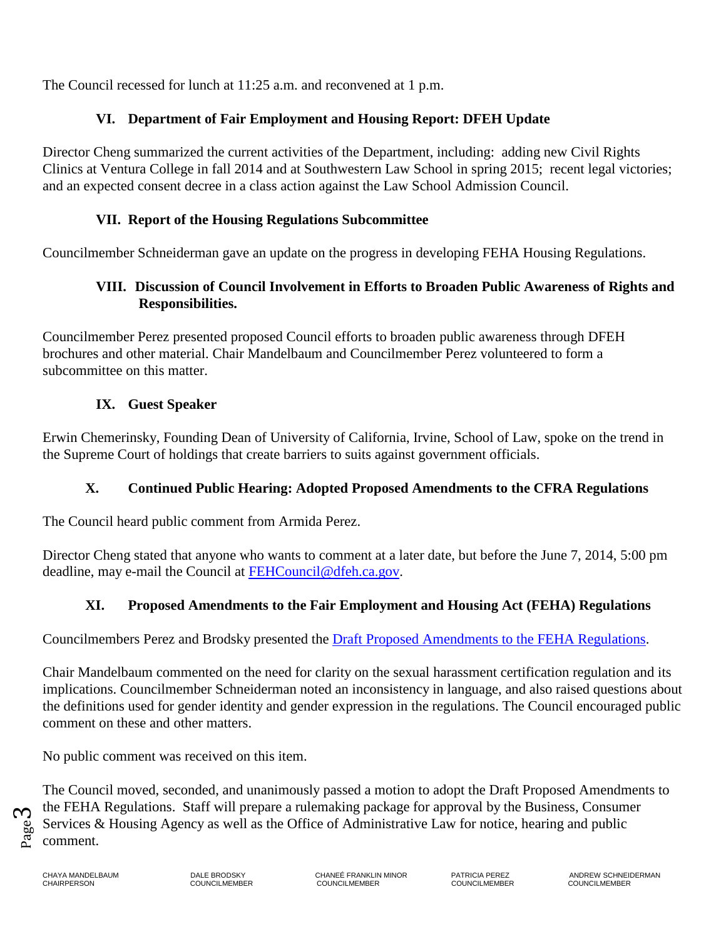The Council recessed for lunch at 11:25 a.m. and reconvened at 1 p.m.

## **VI. Department of Fair Employment and Housing Report: DFEH Update**

Director Cheng summarized the current activities of the Department, including: adding new Civil Rights Clinics at Ventura College in fall 2014 and at Southwestern Law School in spring 2015; recent legal victories; and an expected consent decree in a class action against the Law School Admission Council.

## **VII. Report of the Housing Regulations Subcommittee**

Councilmember Schneiderman gave an update on the progress in developing FEHA Housing Regulations.

## **VIII. Discussion of Council Involvement in Efforts to Broaden Public Awareness of Rights and Responsibilities.**

Councilmember Perez presented proposed Council efforts to broaden public awareness through DFEH brochures and other material. Chair Mandelbaum and Councilmember Perez volunteered to form a subcommittee on this matter.

# **IX. Guest Speaker**

Erwin Chemerinsky, Founding Dean of University of California, Irvine, School of Law, spoke on the trend in the Supreme Court of holdings that create barriers to suits against government officials.

# **X. Continued Public Hearing: Adopted Proposed Amendments to the CFRA Regulations**

The Council heard public comment from Armida Perez.

Director Cheng stated that anyone who wants to comment at a later date, but before the June 7, 2014, 5:00 pm deadline, may e-mail the Council at [FEHCouncil@dfeh.ca.gov.](mailto:FEHCouncil@dfeh.ca.gov)

# **XI. Proposed Amendments to the Fair Employment and Housing Act (FEHA) Regulations**

Councilmembers Perez and Brodsky presented the [Draft Proposed Amendments to the FEHA Regulations.](http://www.dfeh.ca.gov/res/docs/Council/4-7-14%20Meeting/Attachment%20E%20-%20FEHA%20Regs%20Master%203-28-14%20(final).pdf)

Chair Mandelbaum commented on the need for clarity on the sexual harassment certification regulation and its implications. Councilmember Schneiderman noted an inconsistency in language, and also raised questions about the definitions used for gender identity and gender expression in the regulations. The Council encouraged public comment on these and other matters.

No public comment was received on this item.

The Council moved, seconded, and unanimously passed a motion to adopt the Draft Proposed Amendments to the FEHA Regulations. Staff will prepare a rulemaking package for approval by the Business, Consumer Services & Housing Agency as well as the Office of Administrative Law for notice, hearing and public comment.

Page ო

CHAIRPERSON COUNCILMEMBER COUNCILMEMBER COUNCILMEMBER COUNCILMEMBER